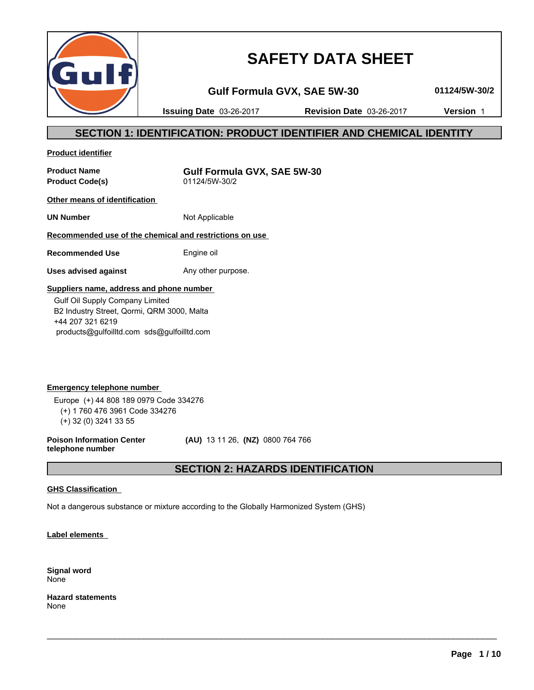

# **SAFETY DATA SHEET**

**Gulf Formula GVX, SAE 5W-30 01124/5W-30/2**

**Issuing Date** 03-26-2017 **Revision Date** 03-26-2017 **Version** 1

## **SECTION 1: IDENTIFICATION: PRODUCT IDENTIFIER AND CHEMICAL IDENTITY**

**Product identifier**

**Product Code(s)** 

**Product Name**<br> **Product Code(s)**<br> **COMPOUT ASSEMS:** 01124/5W-30/2

**Other means of identification** 

**UN Number** Not Applicable

## **Recommended use of the chemical and restrictions on use**

**Recommended Use** Engine oil

**Uses advised against** Any other purpose.

### **Suppliers name, address and phone number**

 Gulf Oil Supply Company Limited B2 Industry Street, Qormi, QRM 3000, Malta +44 207 321 6219 products@gulfoilltd.com sds@gulfoilltd.com

**Emergency telephone number**  Europe (+) 44 808 189 0979 Code 334276 (+) 1 760 476 3961 Code 334276 (+) 32 (0) 3241 33 55

**Poison Information Center telephone number**

 **(AU)** 13 11 26, **(NZ)** 0800 764 766

## **SECTION 2: HAZARDS IDENTIFICATION**

 $\_$  ,  $\_$  ,  $\_$  ,  $\_$  ,  $\_$  ,  $\_$  ,  $\_$  ,  $\_$  ,  $\_$  ,  $\_$  ,  $\_$  ,  $\_$  ,  $\_$  ,  $\_$  ,  $\_$  ,  $\_$  ,  $\_$  ,  $\_$  ,  $\_$  ,  $\_$  ,  $\_$  ,  $\_$  ,  $\_$  ,  $\_$  ,  $\_$  ,  $\_$  ,  $\_$  ,  $\_$  ,  $\_$  ,  $\_$  ,  $\_$  ,  $\_$  ,  $\_$  ,  $\_$  ,  $\_$  ,  $\_$  ,  $\_$  ,

### **GHS Classification**

Not a dangerous substance or mixture according to the Globally Harmonized System (GHS)

**Label elements** 

**Signal word** None

**Hazard statements** None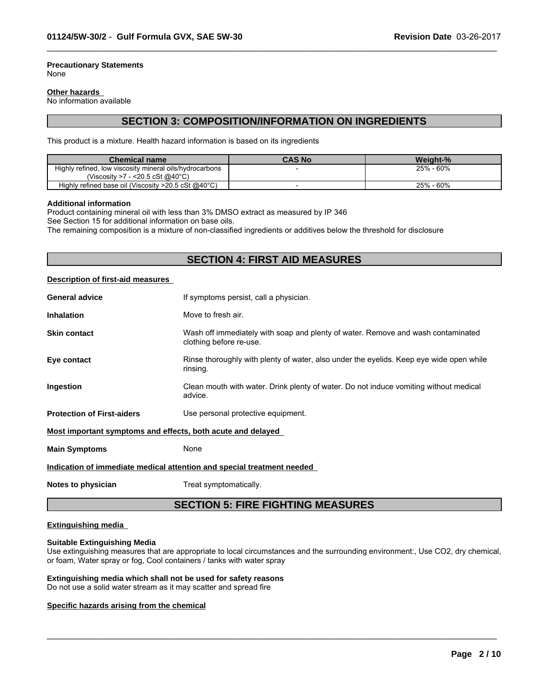#### **Precautionary Statements** None

#### **Other hazards**

No information available

## **SECTION 3: COMPOSITION/INFORMATION ON INGREDIENTS**

 $\_$  ,  $\_$  ,  $\_$  ,  $\_$  ,  $\_$  ,  $\_$  ,  $\_$  ,  $\_$  ,  $\_$  ,  $\_$  ,  $\_$  ,  $\_$  ,  $\_$  ,  $\_$  ,  $\_$  ,  $\_$  ,  $\_$  ,  $\_$  ,  $\_$  ,  $\_$  ,  $\_$  ,  $\_$  ,  $\_$  ,  $\_$  ,  $\_$  ,  $\_$  ,  $\_$  ,  $\_$  ,  $\_$  ,  $\_$  ,  $\_$  ,  $\_$  ,  $\_$  ,  $\_$  ,  $\_$  ,  $\_$  ,  $\_$  ,

This product is a mixture. Health hazard information is based on its ingredients

| <b>Chemical name</b>                                             | <b>CAS No</b> | <b>Weight-%</b> |
|------------------------------------------------------------------|---------------|-----------------|
| Highly refined, low viscosity mineral oils/hydrocarbons          |               | $-60%$<br>25%   |
| (Viscosity >7 - <20.5 cSt @40 $^{\circ}$ C)                      |               |                 |
| Highly refined base oil (Viscosity $>20.5$ cSt @40 $^{\circ}$ C) |               | 25% - 60%       |

#### **Additional information**

Product containing mineral oil with less than 3% DMSO extract as measured by IP 346

See Section 15 for additional information on base oils.

The remaining composition is a mixture of non-classified ingredients or additives below the threshold for disclosure

## **SECTION 4: FIRST AID MEASURES**

#### **Description of first-aid measures**

| <b>General advice</b>                                                  | If symptoms persist, call a physician.                                                                      |  |  |
|------------------------------------------------------------------------|-------------------------------------------------------------------------------------------------------------|--|--|
| <b>Inhalation</b>                                                      | Move to fresh air.                                                                                          |  |  |
| <b>Skin contact</b>                                                    | Wash off immediately with soap and plenty of water. Remove and wash contaminated<br>clothing before re-use. |  |  |
| Eye contact                                                            | Rinse thoroughly with plenty of water, also under the eyelids. Keep eye wide open while<br>rinsing.         |  |  |
| Ingestion                                                              | Clean mouth with water. Drink plenty of water. Do not induce vomiting without medical<br>advice.            |  |  |
| <b>Protection of First-aiders</b>                                      | Use personal protective equipment.                                                                          |  |  |
| Most important symptoms and effects, both acute and delayed            |                                                                                                             |  |  |
| <b>Main Symptoms</b>                                                   | None                                                                                                        |  |  |
| Indication of immediate medical attention and special treatment needed |                                                                                                             |  |  |
|                                                                        |                                                                                                             |  |  |

**Notes to physician** Treat symptomatically.

## **SECTION 5: FIRE FIGHTING MEASURES**

### **Extinguishing media**

#### **Suitable Extinguishing Media**

Use extinguishing measures that are appropriate to local circumstances and the surrounding environment:, Use CO2, dry chemical, or foam, Water spray or fog, Cool containers / tanks with water spray

 $\_$  ,  $\_$  ,  $\_$  ,  $\_$  ,  $\_$  ,  $\_$  ,  $\_$  ,  $\_$  ,  $\_$  ,  $\_$  ,  $\_$  ,  $\_$  ,  $\_$  ,  $\_$  ,  $\_$  ,  $\_$  ,  $\_$  ,  $\_$  ,  $\_$  ,  $\_$  ,  $\_$  ,  $\_$  ,  $\_$  ,  $\_$  ,  $\_$  ,  $\_$  ,  $\_$  ,  $\_$  ,  $\_$  ,  $\_$  ,  $\_$  ,  $\_$  ,  $\_$  ,  $\_$  ,  $\_$  ,  $\_$  ,  $\_$  ,

### **Extinguishing media which shall not be used for safety reasons**

Do not use a solid water stream as it may scatter and spread fire

#### **Specific hazards arising from the chemical**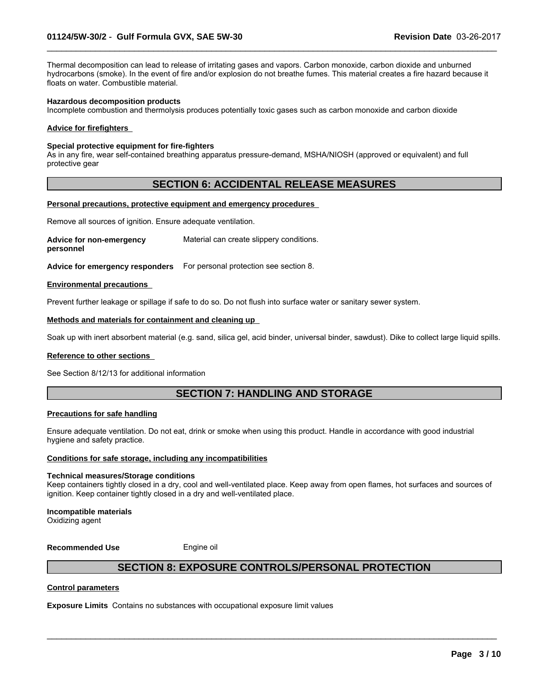Thermal decomposition can lead to release of irritating gases and vapors. Carbon monoxide, carbon dioxide and unburned hydrocarbons (smoke). In the event of fire and/or explosion do not breathe fumes. This material creates a fire hazard because it floats on water. Combustible material.

 $\_$  ,  $\_$  ,  $\_$  ,  $\_$  ,  $\_$  ,  $\_$  ,  $\_$  ,  $\_$  ,  $\_$  ,  $\_$  ,  $\_$  ,  $\_$  ,  $\_$  ,  $\_$  ,  $\_$  ,  $\_$  ,  $\_$  ,  $\_$  ,  $\_$  ,  $\_$  ,  $\_$  ,  $\_$  ,  $\_$  ,  $\_$  ,  $\_$  ,  $\_$  ,  $\_$  ,  $\_$  ,  $\_$  ,  $\_$  ,  $\_$  ,  $\_$  ,  $\_$  ,  $\_$  ,  $\_$  ,  $\_$  ,  $\_$  ,

#### **Hazardous decomposition products**

Incomplete combustion and thermolysis produces potentially toxic gases such as carbon monoxide and carbon dioxide

#### **Advice for firefighters**

#### **Special protective equipment for fire-fighters**

As in any fire, wear self-contained breathing apparatus pressure-demand, MSHA/NIOSH (approved or equivalent) and full protective gear

### **SECTION 6: ACCIDENTAL RELEASE MEASURES**

#### **Personal precautions, protective equipment and emergency procedures**

Remove all sources of ignition. Ensure adequate ventilation.

**Advice for non-emergency personnel** Material can create slippery conditions.

**Advice for emergency responders** For personal protection see section 8.

#### **Environmental precautions**

Prevent further leakage or spillage if safe to do so. Do not flush into surface water or sanitary sewer system.

#### **Methods and materials for containment and cleaning up**

Soak up with inert absorbent material (e.g. sand, silica gel, acid binder, universal binder, sawdust). Dike to collect large liquid spills.

#### **Reference to other sections**

See Section 8/12/13 for additional information

## **SECTION 7: HANDLING AND STORAGE**

#### **Precautions for safe handling**

Ensure adequate ventilation. Do not eat, drink or smoke when using this product. Handle in accordance with good industrial hygiene and safety practice.

#### **Conditions for safe storage, including any incompatibilities**

#### **Technical measures/Storage conditions**

Keep containers tightly closed in a dry, cool and well-ventilated place. Keep away from open flames, hot surfaces and sources of ignition. Keep container tightly closed in a dry and well-ventilated place.

#### **Incompatible materials**

Oxidizing agent

**Recommended Use** Engine oil

## **SECTION 8: EXPOSURE CONTROLS/PERSONAL PROTECTION**

 $\_$  ,  $\_$  ,  $\_$  ,  $\_$  ,  $\_$  ,  $\_$  ,  $\_$  ,  $\_$  ,  $\_$  ,  $\_$  ,  $\_$  ,  $\_$  ,  $\_$  ,  $\_$  ,  $\_$  ,  $\_$  ,  $\_$  ,  $\_$  ,  $\_$  ,  $\_$  ,  $\_$  ,  $\_$  ,  $\_$  ,  $\_$  ,  $\_$  ,  $\_$  ,  $\_$  ,  $\_$  ,  $\_$  ,  $\_$  ,  $\_$  ,  $\_$  ,  $\_$  ,  $\_$  ,  $\_$  ,  $\_$  ,  $\_$  ,

#### **Control parameters**

**Exposure Limits** Contains no substances with occupational exposure limit values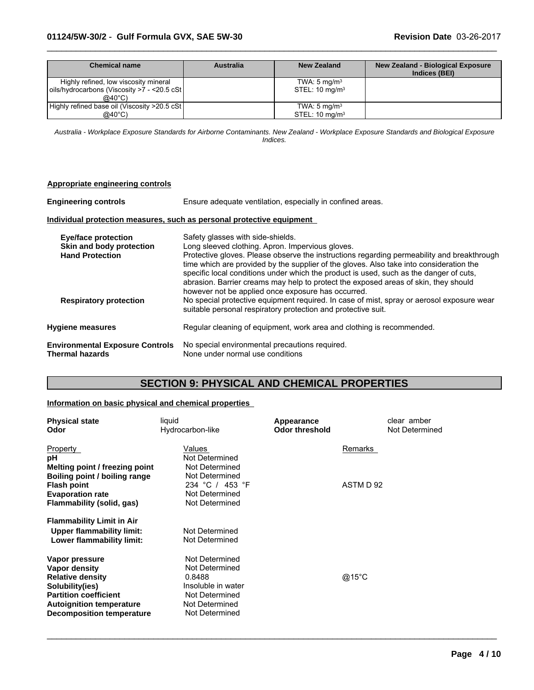## **01124/5W-30/2** - **Gulf Formula GVX, SAE 5W-30 Revision Date** 03-26-2017

| Chemical name                                                                                            | Australia | New Zealand                                             | <b>New Zealand - Biological Exposure</b><br>Indices (BEI) |
|----------------------------------------------------------------------------------------------------------|-----------|---------------------------------------------------------|-----------------------------------------------------------|
| Highly refined, low viscosity mineral<br>oils/hydrocarbons (Viscosity >7 - <20.5 cSt<br>$@40^{\circ}$ C) |           | TWA: $5 \text{ mg/m}^3$<br>STEL: $10 \text{ mg/m}^3$    |                                                           |
| Highly refined base oil (Viscosity >20.5 cSt)<br>@40°C)                                                  |           | TWA: $5 \text{ mg/m}^3$<br>$STEL: 10$ ma/m <sup>3</sup> |                                                           |

 $\_$  ,  $\_$  ,  $\_$  ,  $\_$  ,  $\_$  ,  $\_$  ,  $\_$  ,  $\_$  ,  $\_$  ,  $\_$  ,  $\_$  ,  $\_$  ,  $\_$  ,  $\_$  ,  $\_$  ,  $\_$  ,  $\_$  ,  $\_$  ,  $\_$  ,  $\_$  ,  $\_$  ,  $\_$  ,  $\_$  ,  $\_$  ,  $\_$  ,  $\_$  ,  $\_$  ,  $\_$  ,  $\_$  ,  $\_$  ,  $\_$  ,  $\_$  ,  $\_$  ,  $\_$  ,  $\_$  ,  $\_$  ,  $\_$  ,

*Australia - Workplace Exposure Standards for Airborne Contaminants. New Zealand - Workplace Exposure Standards and Biological Exposure Indices.*

| Appropriate engineering controls                                                 |                                                                                                                                                                                                                                                                                                                                                                                                                                                                 |
|----------------------------------------------------------------------------------|-----------------------------------------------------------------------------------------------------------------------------------------------------------------------------------------------------------------------------------------------------------------------------------------------------------------------------------------------------------------------------------------------------------------------------------------------------------------|
| <b>Engineering controls</b>                                                      | Ensure adequate ventilation, especially in confined areas.                                                                                                                                                                                                                                                                                                                                                                                                      |
|                                                                                  | Individual protection measures, such as personal protective equipment                                                                                                                                                                                                                                                                                                                                                                                           |
| <b>Eye/face protection</b><br>Skin and body protection<br><b>Hand Protection</b> | Safety glasses with side-shields.<br>Long sleeved clothing. Apron. Impervious gloves.<br>Protective gloves. Please observe the instructions regarding permeability and breakthrough<br>time which are provided by the supplier of the gloves. Also take into consideration the<br>specific local conditions under which the product is used, such as the danger of cuts,<br>abrasion. Barrier creams may help to protect the exposed areas of skin, they should |
| <b>Respiratory protection</b>                                                    | however not be applied once exposure has occurred.<br>No special protective equipment required. In case of mist, spray or aerosol exposure wear<br>suitable personal respiratory protection and protective suit.                                                                                                                                                                                                                                                |
| <b>Hygiene measures</b>                                                          | Regular cleaning of equipment, work area and clothing is recommended.                                                                                                                                                                                                                                                                                                                                                                                           |
| <b>Environmental Exposure Controls</b><br><b>Thermal hazards</b>                 | No special environmental precautions required.<br>None under normal use conditions                                                                                                                                                                                                                                                                                                                                                                              |

## **SECTION 9: PHYSICAL AND CHEMICAL PROPERTIES**

### **Information on basic physical and chemical properties**

| <b>Physical state</b><br>Odor    | liquid<br>Hydrocarbon-like | Appearance<br><b>Odor threshold</b> | clear amber<br>Not Determined |
|----------------------------------|----------------------------|-------------------------------------|-------------------------------|
| Property                         | Values                     |                                     | Remarks                       |
| рH                               | Not Determined             |                                     |                               |
| Melting point / freezing point   | Not Determined             |                                     |                               |
| Boiling point / boiling range    | Not Determined             |                                     |                               |
| <b>Flash point</b>               | 234 °C / 453 °F            |                                     | ASTM D 92                     |
| <b>Evaporation rate</b>          | Not Determined             |                                     |                               |
| Flammability (solid, gas)        | Not Determined             |                                     |                               |
| <b>Flammability Limit in Air</b> |                            |                                     |                               |
| Upper flammability limit:        | Not Determined             |                                     |                               |
| Lower flammability limit:        | Not Determined             |                                     |                               |
| Vapor pressure                   | Not Determined             |                                     |                               |
| Vapor density                    | Not Determined             |                                     |                               |
| <b>Relative density</b>          | 0.8488                     |                                     | @15°C                         |
| Solubility(ies)                  | Insoluble in water         |                                     |                               |
| <b>Partition coefficient</b>     | Not Determined             |                                     |                               |
| <b>Autoignition temperature</b>  | Not Determined             |                                     |                               |
| <b>Decomposition temperature</b> | Not Determined             |                                     |                               |

 $\_$  ,  $\_$  ,  $\_$  ,  $\_$  ,  $\_$  ,  $\_$  ,  $\_$  ,  $\_$  ,  $\_$  ,  $\_$  ,  $\_$  ,  $\_$  ,  $\_$  ,  $\_$  ,  $\_$  ,  $\_$  ,  $\_$  ,  $\_$  ,  $\_$  ,  $\_$  ,  $\_$  ,  $\_$  ,  $\_$  ,  $\_$  ,  $\_$  ,  $\_$  ,  $\_$  ,  $\_$  ,  $\_$  ,  $\_$  ,  $\_$  ,  $\_$  ,  $\_$  ,  $\_$  ,  $\_$  ,  $\_$  ,  $\_$  ,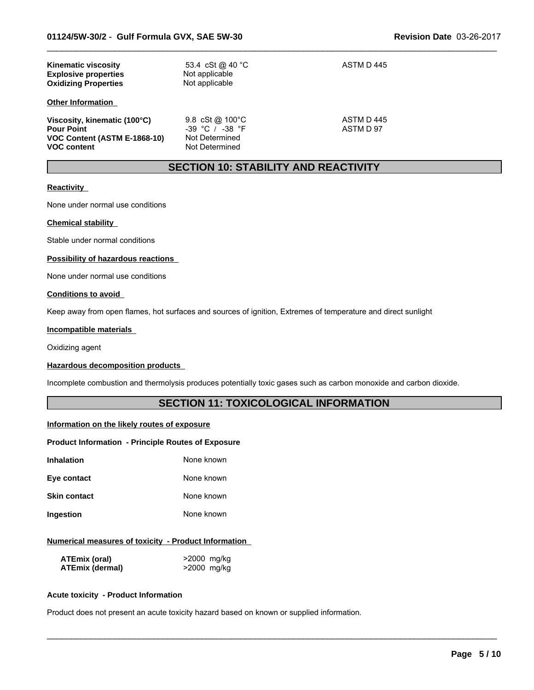| <b>Kinematic viscosity</b><br><b>Explosive properties</b><br><b>Oxidizing Properties</b>                | 53.4 cSt @ 40 °C<br>Not applicable<br>Not applicable                       | ASTM D 445              |
|---------------------------------------------------------------------------------------------------------|----------------------------------------------------------------------------|-------------------------|
| <b>Other Information</b>                                                                                |                                                                            |                         |
| Viscosity, kinematic (100°C)<br><b>Pour Point</b><br>VOC Content (ASTM E-1868-10)<br><b>VOC content</b> | 9.8 $cSt@100°C$<br>$-39$ °C / $-38$ °F<br>Not Determined<br>Not Determined | ASTM D 445<br>ASTM D 97 |

## **SECTION 10: STABILITY AND REACTIVITY**

 $\_$  ,  $\_$  ,  $\_$  ,  $\_$  ,  $\_$  ,  $\_$  ,  $\_$  ,  $\_$  ,  $\_$  ,  $\_$  ,  $\_$  ,  $\_$  ,  $\_$  ,  $\_$  ,  $\_$  ,  $\_$  ,  $\_$  ,  $\_$  ,  $\_$  ,  $\_$  ,  $\_$  ,  $\_$  ,  $\_$  ,  $\_$  ,  $\_$  ,  $\_$  ,  $\_$  ,  $\_$  ,  $\_$  ,  $\_$  ,  $\_$  ,  $\_$  ,  $\_$  ,  $\_$  ,  $\_$  ,  $\_$  ,  $\_$  ,

### **Reactivity**

None under normal use conditions

#### **Chemical stability**

Stable under normal conditions

#### **Possibility of hazardous reactions**

None under normal use conditions

#### **Conditions to avoid**

Keep away from open flames, hot surfaces and sources of ignition, Extremes of temperature and direct sunlight

#### **Incompatible materials**

Oxidizing agent

#### **Hazardous decomposition products**

Incomplete combustion and thermolysis produces potentially toxic gases such as carbon monoxide and carbon dioxide.

## **SECTION 11: TOXICOLOGICAL INFORMATION**

 $\_$  ,  $\_$  ,  $\_$  ,  $\_$  ,  $\_$  ,  $\_$  ,  $\_$  ,  $\_$  ,  $\_$  ,  $\_$  ,  $\_$  ,  $\_$  ,  $\_$  ,  $\_$  ,  $\_$  ,  $\_$  ,  $\_$  ,  $\_$  ,  $\_$  ,  $\_$  ,  $\_$  ,  $\_$  ,  $\_$  ,  $\_$  ,  $\_$  ,  $\_$  ,  $\_$  ,  $\_$  ,  $\_$  ,  $\_$  ,  $\_$  ,  $\_$  ,  $\_$  ,  $\_$  ,  $\_$  ,  $\_$  ,  $\_$  ,

#### **Information on the likely routes of exposure**

### **Product Information - Principle Routes of Exposure**

| Inhalation   | None known |
|--------------|------------|
| Eye contact  | None known |
| Skin contact | None known |

# **Ingestion** None known

### **Numerical measures of toxicity - Product Information**

| ATEmix (oral)          | >2000 mg/kg |
|------------------------|-------------|
| <b>ATEmix (dermal)</b> | >2000 mg/kg |

#### **Acute toxicity - Product Information**

Product does not present an acute toxicity hazard based on known or supplied information.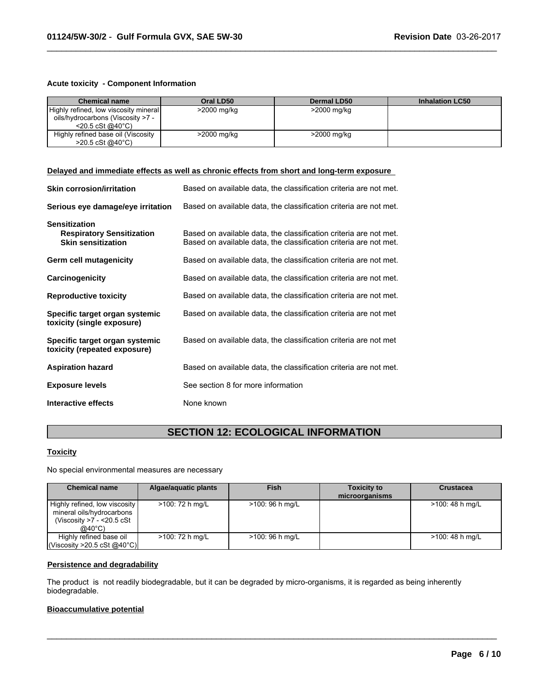### **Acute toxicity - Component Information**

| <b>Chemical name</b>                  | Oral LD50   | Dermal LD50 | <b>Inhalation LC50</b> |
|---------------------------------------|-------------|-------------|------------------------|
| Highly refined, low viscosity mineral | >2000 mg/kg | >2000 mg/kg |                        |
| oils/hydrocarbons (Viscosity >7 -     |             |             |                        |
| $<$ 20.5 cSt @40 $^{\circ}$ C)        |             |             |                        |
| Highly refined base oil (Viscosity    | >2000 mg/kg | >2000 mg/kg |                        |
| $>20.5 \text{ cSt}$ @ 40 °C)          |             |             |                        |

 $\_$  ,  $\_$  ,  $\_$  ,  $\_$  ,  $\_$  ,  $\_$  ,  $\_$  ,  $\_$  ,  $\_$  ,  $\_$  ,  $\_$  ,  $\_$  ,  $\_$  ,  $\_$  ,  $\_$  ,  $\_$  ,  $\_$  ,  $\_$  ,  $\_$  ,  $\_$  ,  $\_$  ,  $\_$  ,  $\_$  ,  $\_$  ,  $\_$  ,  $\_$  ,  $\_$  ,  $\_$  ,  $\_$  ,  $\_$  ,  $\_$  ,  $\_$  ,  $\_$  ,  $\_$  ,  $\_$  ,  $\_$  ,  $\_$  ,

#### **Delayed and immediate effects as well as chronic effects from short and long-term exposure**

| <b>Skin corrosion/irritation</b>                                                      | Based on available data, the classification criteria are not met.                                                                      |
|---------------------------------------------------------------------------------------|----------------------------------------------------------------------------------------------------------------------------------------|
| Serious eye damage/eye irritation                                                     | Based on available data, the classification criteria are not met.                                                                      |
| <b>Sensitization</b><br><b>Respiratory Sensitization</b><br><b>Skin sensitization</b> | Based on available data, the classification criteria are not met.<br>Based on available data, the classification criteria are not met. |
| Germ cell mutagenicity                                                                | Based on available data, the classification criteria are not met.                                                                      |
| Carcinogenicity                                                                       | Based on available data, the classification criteria are not met.                                                                      |
| <b>Reproductive toxicity</b>                                                          | Based on available data, the classification criteria are not met.                                                                      |
| Specific target organ systemic<br>toxicity (single exposure)                          | Based on available data, the classification criteria are not met                                                                       |
| Specific target organ systemic<br>toxicity (repeated exposure)                        | Based on available data, the classification criteria are not met                                                                       |
| <b>Aspiration hazard</b>                                                              | Based on available data, the classification criteria are not met.                                                                      |
| <b>Exposure levels</b>                                                                | See section 8 for more information                                                                                                     |
| Interactive effects                                                                   | None known                                                                                                                             |

## **SECTION 12: ECOLOGICAL INFORMATION**

## **Toxicity**

No special environmental measures are necessary

| <b>Chemical name</b>                                                                               | Algae/aguatic plants | <b>Fish</b>      | <b>Toxicity to</b><br>microorganisms | <b>Crustacea</b> |
|----------------------------------------------------------------------------------------------------|----------------------|------------------|--------------------------------------|------------------|
| Highly refined, low viscosity<br>mineral oils/hydrocarbons<br>(Viscosity $>7 - 20.5$ cSt<br>@40°C) | >100: 72 h mg/L      | $>100:96$ h mg/L |                                      | >100: 48 h mg/L  |
| Highly refined base oil<br>$\vert$ (Viscosity >20.5 cSt @40°C) $\vert$                             | >100: 72 h mg/L      | $>100:96$ h mg/L |                                      | >100: 48 h mg/L  |

 $\_$  ,  $\_$  ,  $\_$  ,  $\_$  ,  $\_$  ,  $\_$  ,  $\_$  ,  $\_$  ,  $\_$  ,  $\_$  ,  $\_$  ,  $\_$  ,  $\_$  ,  $\_$  ,  $\_$  ,  $\_$  ,  $\_$  ,  $\_$  ,  $\_$  ,  $\_$  ,  $\_$  ,  $\_$  ,  $\_$  ,  $\_$  ,  $\_$  ,  $\_$  ,  $\_$  ,  $\_$  ,  $\_$  ,  $\_$  ,  $\_$  ,  $\_$  ,  $\_$  ,  $\_$  ,  $\_$  ,  $\_$  ,  $\_$  ,

### **Persistence and degradability**

The product is not readily biodegradable, but it can be degraded by micro-organisms, it is regarded as being inherently biodegradable.

## **Bioaccumulative potential**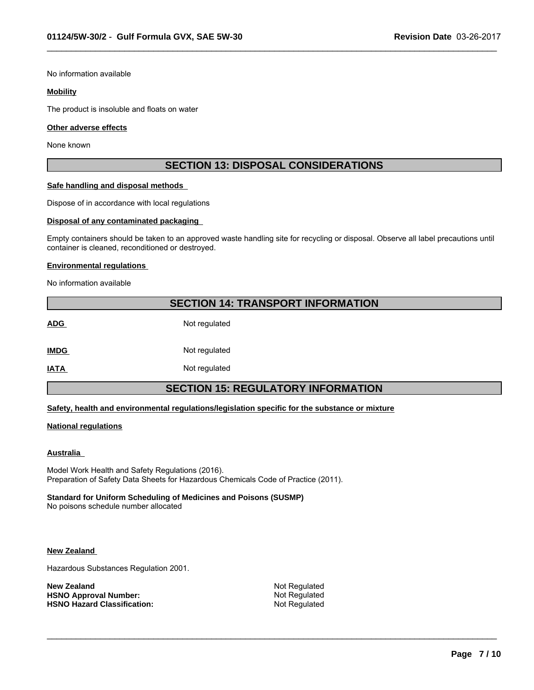No information available

#### **Mobility**

The product is insoluble and floats on water

#### **Other adverse effects**

None known

## **SECTION 13: DISPOSAL CONSIDERATIONS**

 $\_$  ,  $\_$  ,  $\_$  ,  $\_$  ,  $\_$  ,  $\_$  ,  $\_$  ,  $\_$  ,  $\_$  ,  $\_$  ,  $\_$  ,  $\_$  ,  $\_$  ,  $\_$  ,  $\_$  ,  $\_$  ,  $\_$  ,  $\_$  ,  $\_$  ,  $\_$  ,  $\_$  ,  $\_$  ,  $\_$  ,  $\_$  ,  $\_$  ,  $\_$  ,  $\_$  ,  $\_$  ,  $\_$  ,  $\_$  ,  $\_$  ,  $\_$  ,  $\_$  ,  $\_$  ,  $\_$  ,  $\_$  ,  $\_$  ,

### **Safe handling and disposal methods**

Dispose of in accordance with local regulations

#### **Disposal of any contaminated packaging**

Empty containers should be taken to an approved waste handling site for recycling or disposal. Observe all label precautions until container is cleaned, reconditioned or destroyed.

#### **Environmental regulations**

No information available

## **SECTION 14: TRANSPORT INFORMATION**

ADG Not regulated **IMDG** Not regulated

**IATA** Not regulated

## **SECTION 15: REGULATORY INFORMATION**

### **Safety, health and environmental regulations/legislation specific for the substance or mixture**

#### **National regulations**

#### **Australia**

Model Work Health and Safety Regulations (2016). Preparation of Safety Data Sheets for Hazardous Chemicals Code of Practice (2011).

### **Standard for Uniform Scheduling of Medicines and Poisons (SUSMP)**

No poisons schedule number allocated

#### **New Zealand**

Hazardous Substances Regulation 2001.

**New Zealand** Not Regulated<br> **HSNO Approval Number:** Not Regulated Not Regulated **HSNO Approval Number:** Not Regulated<br> **HSNO Hazard Classification:** Not Regulated **HSNO Hazard Classification:** 

 $\_$  ,  $\_$  ,  $\_$  ,  $\_$  ,  $\_$  ,  $\_$  ,  $\_$  ,  $\_$  ,  $\_$  ,  $\_$  ,  $\_$  ,  $\_$  ,  $\_$  ,  $\_$  ,  $\_$  ,  $\_$  ,  $\_$  ,  $\_$  ,  $\_$  ,  $\_$  ,  $\_$  ,  $\_$  ,  $\_$  ,  $\_$  ,  $\_$  ,  $\_$  ,  $\_$  ,  $\_$  ,  $\_$  ,  $\_$  ,  $\_$  ,  $\_$  ,  $\_$  ,  $\_$  ,  $\_$  ,  $\_$  ,  $\_$  ,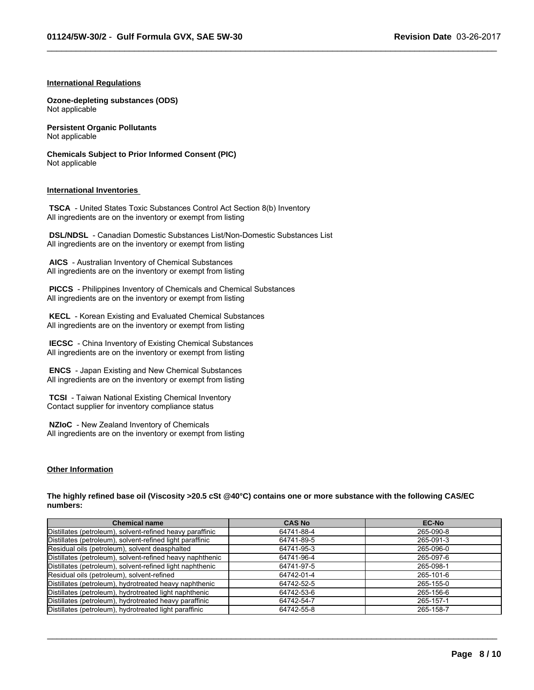$\_$  ,  $\_$  ,  $\_$  ,  $\_$  ,  $\_$  ,  $\_$  ,  $\_$  ,  $\_$  ,  $\_$  ,  $\_$  ,  $\_$  ,  $\_$  ,  $\_$  ,  $\_$  ,  $\_$  ,  $\_$  ,  $\_$  ,  $\_$  ,  $\_$  ,  $\_$  ,  $\_$  ,  $\_$  ,  $\_$  ,  $\_$  ,  $\_$  ,  $\_$  ,  $\_$  ,  $\_$  ,  $\_$  ,  $\_$  ,  $\_$  ,  $\_$  ,  $\_$  ,  $\_$  ,  $\_$  ,  $\_$  ,  $\_$  ,

#### **International Regulations**

**Ozone-depleting substances (ODS)** Not applicable

**Persistent Organic Pollutants** Not applicable

**Chemicals Subject to Prior Informed Consent (PIC)** Not applicable

#### **International Inventories**

 **TSCA** - United States Toxic Substances Control Act Section 8(b) Inventory All ingredients are on the inventory or exempt from listing

 **DSL/NDSL** - Canadian Domestic Substances List/Non-Domestic Substances List All ingredients are on the inventory or exempt from listing

 **AICS** - Australian Inventory of Chemical Substances All ingredients are on the inventory or exempt from listing

 **PICCS** - Philippines Inventory of Chemicals and Chemical Substances All ingredients are on the inventory or exempt from listing

 **KECL** - Korean Existing and Evaluated Chemical Substances All ingredients are on the inventory or exempt from listing

 **IECSC** - China Inventory of Existing Chemical Substances All ingredients are on the inventory or exempt from listing

 **ENCS** - Japan Existing and New Chemical Substances All ingredients are on the inventory or exempt from listing

 **TCSI** - Taiwan National Existing Chemical Inventory Contact supplier for inventory compliance status

 **NZIoC** - New Zealand Inventory of Chemicals All ingredients are on the inventory or exempt from listing

#### **Other Information**

**The highly refined base oil (Viscosity >20.5 cSt @40°C) contains one or more substance with the following CAS/EC numbers:**

| <b>Chemical name</b>                                      | <b>CAS No</b> | <b>EC-No</b> |
|-----------------------------------------------------------|---------------|--------------|
| Distillates (petroleum), solvent-refined heavy paraffinic | 64741-88-4    | 265-090-8    |
| Distillates (petroleum), solvent-refined light paraffinic | 64741-89-5    | 265-091-3    |
| Residual oils (petroleum), solvent deasphalted            | 64741-95-3    | 265-096-0    |
| Distillates (petroleum), solvent-refined heavy naphthenic | 64741-96-4    | 265-097-6    |
| Distillates (petroleum), solvent-refined light naphthenic | 64741-97-5    | 265-098-1    |
| Residual oils (petroleum), solvent-refined                | 64742-01-4    | 265-101-6    |
| Distillates (petroleum), hydrotreated heavy naphthenic    | 64742-52-5    | 265-155-0    |
| Distillates (petroleum), hydrotreated light naphthenic    | 64742-53-6    | 265-156-6    |
| Distillates (petroleum), hydrotreated heavy paraffinic    | 64742-54-7    | 265-157-1    |
| Distillates (petroleum), hydrotreated light paraffinic    | 64742-55-8    | 265-158-7    |

 $\_$  ,  $\_$  ,  $\_$  ,  $\_$  ,  $\_$  ,  $\_$  ,  $\_$  ,  $\_$  ,  $\_$  ,  $\_$  ,  $\_$  ,  $\_$  ,  $\_$  ,  $\_$  ,  $\_$  ,  $\_$  ,  $\_$  ,  $\_$  ,  $\_$  ,  $\_$  ,  $\_$  ,  $\_$  ,  $\_$  ,  $\_$  ,  $\_$  ,  $\_$  ,  $\_$  ,  $\_$  ,  $\_$  ,  $\_$  ,  $\_$  ,  $\_$  ,  $\_$  ,  $\_$  ,  $\_$  ,  $\_$  ,  $\_$  ,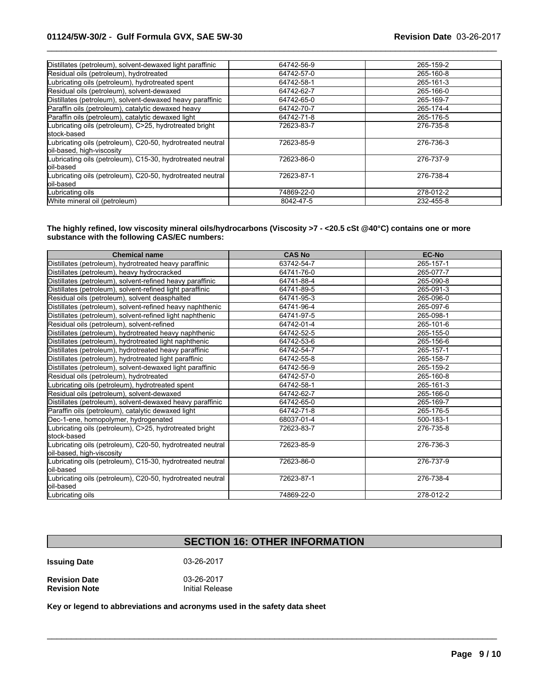| Distillates (petroleum), solvent-dewaxed light paraffinic                                | 64742-56-9 | 265-159-2 |
|------------------------------------------------------------------------------------------|------------|-----------|
| Residual oils (petroleum), hydrotreated                                                  | 64742-57-0 | 265-160-8 |
| Lubricating oils (petroleum), hydrotreated spent                                         | 64742-58-1 | 265-161-3 |
| Residual oils (petroleum), solvent-dewaxed                                               | 64742-62-7 | 265-166-0 |
| Distillates (petroleum), solvent-dewaxed heavy paraffinic                                | 64742-65-0 | 265-169-7 |
| Paraffin oils (petroleum), catalytic dewaxed heavy                                       | 64742-70-7 | 265-174-4 |
| Paraffin oils (petroleum), catalytic dewaxed light                                       | 64742-71-8 | 265-176-5 |
| Lubricating oils (petroleum), C>25, hydrotreated bright<br>stock-based                   | 72623-83-7 | 276-735-8 |
| Lubricating oils (petroleum), C20-50, hydrotreated neutral<br>loil-based, high-viscosity | 72623-85-9 | 276-736-3 |
| Lubricating oils (petroleum), C15-30, hydrotreated neutral<br>loil-based                 | 72623-86-0 | 276-737-9 |
| Lubricating oils (petroleum), C20-50, hydrotreated neutral<br>loil-based                 | 72623-87-1 | 276-738-4 |
| Lubricating oils                                                                         | 74869-22-0 | 278-012-2 |
| White mineral oil (petroleum)                                                            | 8042-47-5  | 232-455-8 |

 $\_$  ,  $\_$  ,  $\_$  ,  $\_$  ,  $\_$  ,  $\_$  ,  $\_$  ,  $\_$  ,  $\_$  ,  $\_$  ,  $\_$  ,  $\_$  ,  $\_$  ,  $\_$  ,  $\_$  ,  $\_$  ,  $\_$  ,  $\_$  ,  $\_$  ,  $\_$  ,  $\_$  ,  $\_$  ,  $\_$  ,  $\_$  ,  $\_$  ,  $\_$  ,  $\_$  ,  $\_$  ,  $\_$  ,  $\_$  ,  $\_$  ,  $\_$  ,  $\_$  ,  $\_$  ,  $\_$  ,  $\_$  ,  $\_$  ,

**The highly refined, low viscosity mineral oils/hydrocarbons (Viscosity >7 - <20.5 cSt @40°C) contains one or more substance with the following CAS/EC numbers:**

| <b>Chemical name</b>                                                                    | <b>CAS No</b> | <b>EC-No</b> |
|-----------------------------------------------------------------------------------------|---------------|--------------|
| Distillates (petroleum), hydrotreated heavy paraffinic                                  | 63742-54-7    | 265-157-1    |
| Distillates (petroleum), heavy hydrocracked                                             | 64741-76-0    | 265-077-7    |
| Distillates (petroleum), solvent-refined heavy paraffinic                               | 64741-88-4    | 265-090-8    |
| Distillates (petroleum), solvent-refined light paraffinic                               | 64741-89-5    | 265-091-3    |
| Residual oils (petroleum), solvent deasphalted                                          | 64741-95-3    | 265-096-0    |
| Distillates (petroleum), solvent-refined heavy naphthenic                               | 64741-96-4    | 265-097-6    |
| Distillates (petroleum), solvent-refined light naphthenic                               | 64741-97-5    | 265-098-1    |
| Residual oils (petroleum), solvent-refined                                              | 64742-01-4    | 265-101-6    |
| Distillates (petroleum), hydrotreated heavy naphthenic                                  | 64742-52-5    | 265-155-0    |
| Distillates (petroleum), hydrotreated light naphthenic                                  | 64742-53-6    | 265-156-6    |
| Distillates (petroleum), hydrotreated heavy paraffinic                                  | 64742-54-7    | 265-157-1    |
| Distillates (petroleum), hydrotreated light paraffinic                                  | 64742-55-8    | 265-158-7    |
| Distillates (petroleum), solvent-dewaxed light paraffinic                               | 64742-56-9    | 265-159-2    |
| Residual oils (petroleum), hydrotreated                                                 | 64742-57-0    | 265-160-8    |
| Lubricating oils (petroleum), hydrotreated spent                                        | 64742-58-1    | 265-161-3    |
| Residual oils (petroleum), solvent-dewaxed                                              | 64742-62-7    | 265-166-0    |
| Distillates (petroleum), solvent-dewaxed heavy paraffinic                               | 64742-65-0    | 265-169-7    |
| Paraffin oils (petroleum), catalytic dewaxed light                                      | 64742-71-8    | 265-176-5    |
| Dec-1-ene, homopolymer, hydrogenated                                                    | 68037-01-4    | 500-183-1    |
| Lubricating oils (petroleum), C>25, hydrotreated bright<br>lstock-based                 | 72623-83-7    | 276-735-8    |
| Lubricating oils (petroleum), C20-50, hydrotreated neutral<br>oil-based, high-viscosity | 72623-85-9    | 276-736-3    |
| Lubricating oils (petroleum), C15-30, hydrotreated neutral<br>loil-based                | 72623-86-0    | 276-737-9    |
| Lubricating oils (petroleum), C20-50, hydrotreated neutral<br>loil-based                | 72623-87-1    | 276-738-4    |
| Lubricating oils                                                                        | 74869-22-0    | 278-012-2    |

# **SECTION 16: OTHER INFORMATION**

 $\mathcal{L}_\mathcal{L} = \{ \mathcal{L}_\mathcal{L} = \{ \mathcal{L}_\mathcal{L} = \{ \mathcal{L}_\mathcal{L} = \{ \mathcal{L}_\mathcal{L} = \{ \mathcal{L}_\mathcal{L} = \{ \mathcal{L}_\mathcal{L} = \{ \mathcal{L}_\mathcal{L} = \{ \mathcal{L}_\mathcal{L} = \{ \mathcal{L}_\mathcal{L} = \{ \mathcal{L}_\mathcal{L} = \{ \mathcal{L}_\mathcal{L} = \{ \mathcal{L}_\mathcal{L} = \{ \mathcal{L}_\mathcal{L} = \{ \mathcal{L}_\mathcal{$ 

**Issuing Date** 03-26-2017

| <b>Revision Date</b> | 03-26-2017      |
|----------------------|-----------------|
| <b>Revision Note</b> | Initial Release |

**Key or legend to abbreviations and acronyms used in the safety data sheet**